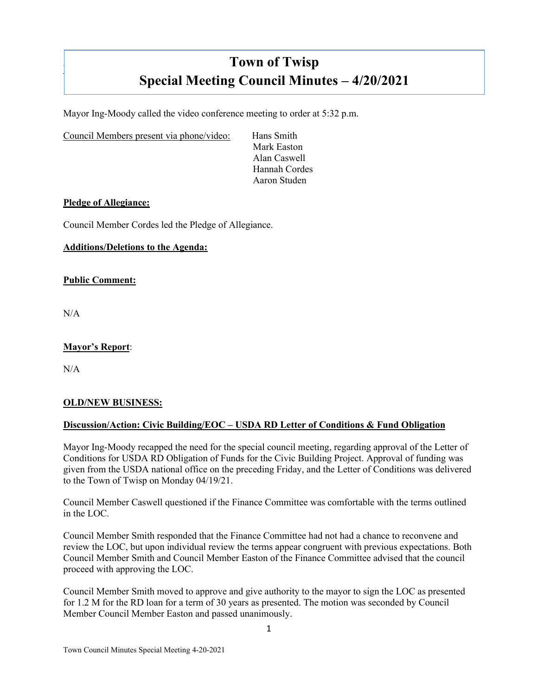# **Town of Twisp Special Meeting Council Minutes – 4/20/2021**

Mayor Ing-Moody called the video conference meeting to order at 5:32 p.m.

Council Members present via phone/video: Hans Smith

Mark Easton Alan Caswell Hannah Cordes Aaron Studen

#### **Pledge of Allegiance:**

Council Member Cordes led the Pledge of Allegiance.

# **Additions/Deletions to the Agenda:**

#### **Public Comment:**

N/A

]

## **Mayor's Report**:

 $N/A$ 

#### **OLD/NEW BUSINESS:**

# **Discussion/Action: Civic Building/EOC – USDA RD Letter of Conditions & Fund Obligation**

Mayor Ing-Moody recapped the need for the special council meeting, regarding approval of the Letter of Conditions for USDA RD Obligation of Funds for the Civic Building Project. Approval of funding was given from the USDA national office on the preceding Friday, and the Letter of Conditions was delivered to the Town of Twisp on Monday 04/19/21.

Council Member Caswell questioned if the Finance Committee was comfortable with the terms outlined in the LOC.

Council Member Smith responded that the Finance Committee had not had a chance to reconvene and review the LOC, but upon individual review the terms appear congruent with previous expectations. Both Council Member Smith and Council Member Easton of the Finance Committee advised that the council proceed with approving the LOC.

Council Member Smith moved to approve and give authority to the mayor to sign the LOC as presented for 1.2 M for the RD loan for a term of 30 years as presented. The motion was seconded by Council Member Council Member Easton and passed unanimously.